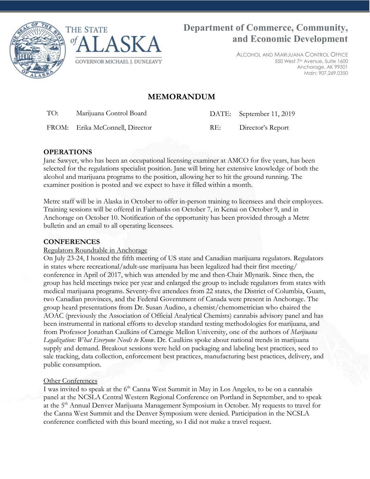



ALCOHOL AND MARIJUANA CONTROL OFFICE 550 West 7th Avenue, Suite 1600 Anchorage, AK 99501 Main: 907.269.0350

# **MEMORANDUM**

TO: Marijuana Control Board DATE: September 11, 2019

FROM: Erika McConnell, Director RE: Director's Report

## **OPERATIONS**

Jane Sawyer, who has been an occupational licensing examiner at AMCO for five years, has been selected for the regulations specialist position. Jane will bring her extensive knowledge of both the alcohol and marijuana programs to the position, allowing her to hit the ground running. The examiner position is posted and we expect to have it filled within a month.

Metrc staff will be in Alaska in October to offer in-person training to licensees and their employees. Training sessions will be offered in Fairbanks on October 7, in Kenai on October 9, and in Anchorage on October 10. Notification of the opportunity has been provided through a Metrc bulletin and an email to all operating licensees.

## **CONFERENCES**

## Regulators Roundtable in Anchorage

On July 23-24, I hosted the fifth meeting of US state and Canadian marijuana regulators. Regulators in states where recreational/adult-use marijuana has been legalized had their first meeting/ conference in April of 2017, which was attended by me and then-Chair Mlynarik. Since then, the group has held meetings twice per year and enlarged the group to include regulators from states with medical marijuana programs. Seventy-five attendees from 22 states, the District of Columbia, Guam, two Canadian provinces, and the Federal Government of Canada were present in Anchorage. The group heard presentations from Dr. Susan Audino, a chemist/chemometrician who chaired the AOAC (previously the Association of Official Analytical Chemists) cannabis advisory panel and has been instrumental in national efforts to develop standard testing methodologies for marijuana, and from Professor Jonathan Caulkins of Carnegie Mellon University, one of the authors of *Marijuana Legalization: What Everyone Needs to Know*. Dr. Caulkins spoke about national trends in marijuana supply and demand. Breakout sessions were held on packaging and labeling best practices, seed to sale tracking, data collection, enforcement best practices, manufacturing best practices, delivery, and public consumption.

## **Other Conferences**

I was invited to speak at the 6<sup>th</sup> Canna West Summit in May in Los Angeles, to be on a cannabis panel at the NCSLA Central Western Regional Conference on Portland in September, and to speak at the 5<sup>th</sup> Annual Denver Marijuana Management Symposium in October. My requests to travel for the Canna West Summit and the Denver Symposium were denied. Participation in the NCSLA conference conflicted with this board meeting, so I did not make a travel request.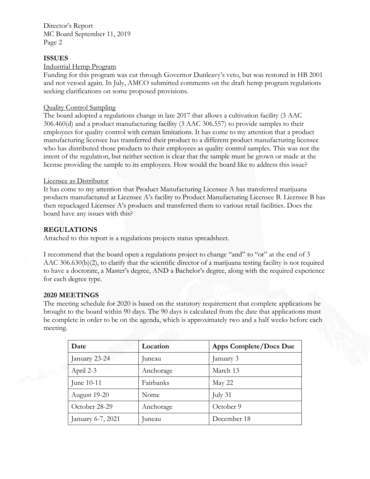Director's Report MC Board September 11, 2019 Page 2

### **ISSUES**

#### Industrial Hemp Program

Funding for this program was cut through Governor Dunleavy's veto, but was restored in HB 2001 and not vetoed again. In July, AMCO submitted comments on the draft hemp program regulations seeking clarifications on some proposed provisions.

#### Quality Control Sampling

The board adopted a regulations change in late 2017 that allows a cultivation facility (3 AAC 306.460(d) and a product manufacturing facility (3 AAC 306.557) to provide samples to their employees for quality control with certain limitations. It has come to my attention that a product manufacturing licensee has transferred their product to a different product manufacturing licensee who has distributed those products to their employees as quality control samples. This was not the intent of the regulation, but neither section is clear that the sample must be grown or made at the license providing the sample to its employees. How would the board like to address this issue?

#### Licensee as Distributor

It has come to my attention that Product Manufacturing Licensee A has transferred marijuana products manufactured at Licensee A's facility to Product Manufacturing Licensee B. Licensee B has then repackaged Licensee A's products and transferred them to various retail facilities. Does the board have any issues with this?

#### **REGULATIONS**

Attached to this report is a regulations projects status spreadsheet.

I recommend that the board open a regulations project to change "and" to "or" at the end of 3 AAC 306.630(b)(2), to clarify that the scientific director of a marijuana testing facility is not required to have a doctorate, a Master's degree, AND a Bachelor's degree, along with the required experience for each degree type.

#### **2020 MEETINGS**

The meeting schedule for 2020 is based on the statutory requirement that complete applications be brought to the board within 90 days. The 90 days is calculated from the date that applications must be complete in order to be on the agenda, which is approximately two and a half weeks before each meeting.

| Date              | Location  | Apps Complete/Docs Due |
|-------------------|-----------|------------------------|
| January 23-24     | uneau     | January 3              |
| April 2-3         | Anchorage | March 13               |
| June $10-11$      | Fairbanks | May 22                 |
| August 19-20      | Nome      | July 31                |
| October 28-29     | Anchorage | October 9              |
| January 6-7, 2021 | uneau     | December 18            |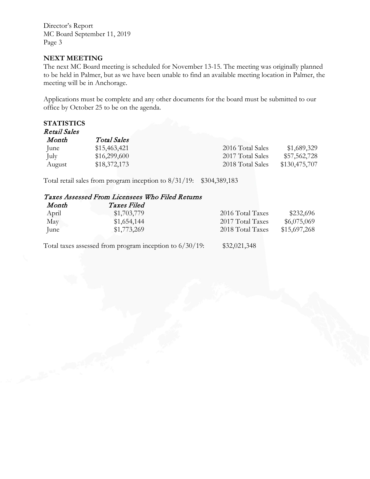Director's Report MC Board September 11, 2019 Page 3

#### **NEXT MEETING**

The next MC Board meeting is scheduled for November 13-15. The meeting was originally planned to be held in Palmer, but as we have been unable to find an available meeting location in Palmer, the meeting will be in Anchorage.

Applications must be complete and any other documents for the board must be submitted to our office by October 25 to be on the agenda.

#### **STATISTICS** Retail Sales

| <i>Total Sales</i> |                  |               |
|--------------------|------------------|---------------|
| \$15,463,421       | 2016 Total Sales | \$1,689,329   |
| \$16,299,600       | 2017 Total Sales | \$57,562,728  |
| \$18,372,173       | 2018 Total Sales | \$130,475,707 |
|                    |                  |               |

Total retail sales from program inception to 8/31/19: \$304,389,183

## Taxes Assessed From Licensees Who Filed Returns

| Month | <i>Taxes Filed</i> |                  |              |
|-------|--------------------|------------------|--------------|
| April | \$1,703,779        | 2016 Total Taxes | \$232,696    |
| May   | \$1,654,144        | 2017 Total Taxes | \$6,075,069  |
| June  | \$1,773,269        | 2018 Total Taxes | \$15,697,268 |

Total taxes assessed from program inception to 6/30/19: \$32,021,348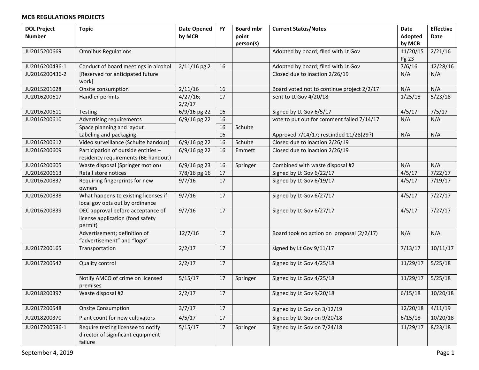| <b>DOL Project</b> | <b>Topic</b>                         | <b>Date Opened</b> | <b>FY</b> | <b>Board mbr</b> | <b>Current Status/Notes</b>                | Date     | <b>Effective</b> |
|--------------------|--------------------------------------|--------------------|-----------|------------------|--------------------------------------------|----------|------------------|
| <b>Number</b>      |                                      | by MCB             |           | point            |                                            | Adopted  | Date             |
|                    |                                      |                    |           | person(s)        |                                            | by MCB   |                  |
| JU2015200669       | <b>Omnibus Regulations</b>           |                    |           |                  | Adopted by board; filed with Lt Gov        | 11/20/15 | 2/21/16          |
|                    |                                      |                    |           |                  |                                            | Pg 23    |                  |
| JU2016200436-1     | Conduct of board meetings in alcohol | $2/11/16$ pg 2     | 16        |                  | Adopted by board; filed with Lt Gov        | 7/6/16   | 12/28/16         |
| JU2016200436-2     | [Reserved for anticipated future     |                    |           |                  | Closed due to inaction 2/26/19             | N/A      | N/A              |
|                    | work]                                |                    |           |                  |                                            |          |                  |
| JU2015201028       | Onsite consumption                   | 2/11/16            | 16        |                  | Board voted not to continue project 2/2/17 | N/A      | N/A              |
| JU2016200617       | Handler permits                      | $4/27/16$ ;        | 17        |                  | Sent to Lt Gov 4/20/18                     | 1/25/18  | 5/23/18          |
|                    |                                      | 2/2/17             |           |                  |                                            |          |                  |
| JU2016200611       | Testing                              | 6/9/16 pg 22       | 16        |                  | Signed by Lt Gov 6/5/17                    | 4/5/17   | 7/5/17           |
| JU2016200610       | Advertising requirements             | 6/9/16 pg 22       | 16        |                  | vote to put out for comment failed 7/14/17 | N/A      | N/A              |
|                    | Space planning and layout            |                    | 16        | Schulte          |                                            |          |                  |
|                    | Labeling and packaging               |                    | 16        |                  | Approved 7/14/17; rescinded 11/28(29?)     | N/A      | N/A              |
| JU2016200612       | Video surveillance (Schulte handout) | 6/9/16 pg 22       | 16        | Schulte          | Closed due to inaction 2/26/19             |          |                  |
| JU2016200609       | Participation of outside entities -  | $6/9/16$ pg 22     | 16        | Emmett           | Closed due to inaction 2/26/19             |          |                  |
|                    | residency requirements (BE handout)  |                    |           |                  |                                            |          |                  |
| JU2016200605       | Waste disposal (Springer motion)     | 6/9/16 pg 23       | 16        | Springer         | Combined with waste disposal #2            | N/A      | N/A              |
| JU2016200613       | Retail store notices                 | 7/8/16 pg 16       | 17        |                  | Signed by Lt Gov 6/22/17                   | 4/5/17   | 7/22/17          |
| JU2016200837       | Requiring fingerprints for new       | 9/7/16             | 17        |                  | Signed by Lt Gov 6/19/17                   | 4/5/17   | 7/19/17          |
|                    | owners                               |                    |           |                  |                                            |          |                  |
| JU2016200838       | What happens to existing licenses if | 9/7/16             | 17        |                  | Signed by Lt Gov 6/27/17                   | 4/5/17   | 7/27/17          |
|                    | local gov opts out by ordinance      |                    |           |                  |                                            |          |                  |
| JU2016200839       | DEC approval before acceptance of    | 9/7/16             | 17        |                  | Signed by Lt Gov 6/27/17                   | 4/5/17   | 7/27/17          |
|                    | license application (food safety     |                    |           |                  |                                            |          |                  |
|                    | permit)                              |                    |           |                  |                                            |          |                  |
|                    | Advertisement; definition of         | 12/7/16            | 17        |                  | Board took no action on proposal (2/2/17)  | N/A      | N/A              |
|                    | "advertisement" and "logo"           |                    |           |                  |                                            |          |                  |
| JU2017200165       | Transportation                       | 2/2/17             | 17        |                  | signed by Lt Gov 9/11/17                   | 7/13/17  | 10/11/17         |
|                    |                                      |                    |           |                  |                                            |          |                  |
| JU2017200542       | Quality control                      | 2/2/17             | 17        |                  | Signed by Lt Gov 4/25/18                   | 11/29/17 | 5/25/18          |
|                    |                                      |                    |           |                  |                                            |          |                  |
|                    | Notify AMCO of crime on licensed     | 5/15/17            | 17        | Springer         | Signed by Lt Gov 4/25/18                   | 11/29/17 | 5/25/18          |
|                    | premises                             |                    |           |                  |                                            |          |                  |
| JU2018200397       | Waste disposal #2                    | 2/2/17             | 17        |                  | Signed by Lt Gov 9/20/18                   | 6/15/18  | 10/20/18         |
|                    |                                      |                    |           |                  |                                            |          |                  |
| JU2017200548       | <b>Onsite Consumption</b>            | 3/7/17             | 17        |                  | Signed by Lt Gov on 3/12/19                | 12/20/18 | 4/11/19          |
| JU2018200370       | Plant count for new cultivators      | 4/5/17             | 17        |                  | Signed by Lt Gov on 9/20/18                | 6/15/18  | 10/20/18         |
| JU2017200536-1     | Require testing licensee to notify   | 5/15/17            | 17        | Springer         | Signed by Lt Gov on 7/24/18                | 11/29/17 | 8/23/18          |
|                    | director of significant equipment    |                    |           |                  |                                            |          |                  |
|                    | failure                              |                    |           |                  |                                            |          |                  |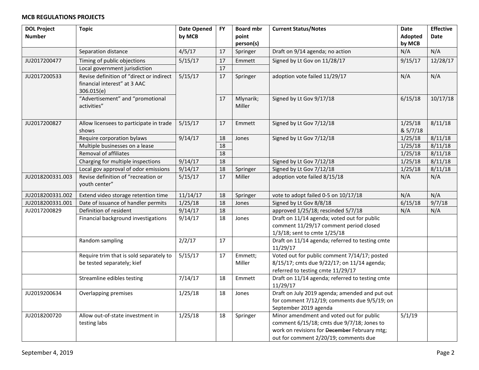| <b>DOL Project</b> | <b>Topic</b>                             | <b>Date Opened</b> | <b>FY</b> | <b>Board mbr</b> | <b>Current Status/Notes</b>                     | Date     | <b>Effective</b> |
|--------------------|------------------------------------------|--------------------|-----------|------------------|-------------------------------------------------|----------|------------------|
| <b>Number</b>      |                                          | by MCB             |           | point            |                                                 | Adopted  | <b>Date</b>      |
|                    |                                          |                    |           | person(s)        |                                                 | by MCB   |                  |
|                    | Separation distance                      | 4/5/17             | 17        | Springer         | Draft on 9/14 agenda; no action                 | N/A      | N/A              |
| JU2017200477       | Timing of public objections              | 5/15/17            | 17        | Emmett           | Signed by Lt Gov on 11/28/17                    | 9/15/17  | 12/28/17         |
|                    | Local government jurisdiction            |                    | $17\,$    |                  |                                                 |          |                  |
| JU2017200533       | Revise definition of "direct or indirect | 5/15/17            | 17        | Springer         | adoption vote failed 11/29/17                   | N/A      | N/A              |
|                    | financial interest" at 3 AAC             |                    |           |                  |                                                 |          |                  |
|                    | 306.015(e)                               |                    |           |                  |                                                 |          |                  |
|                    | "Advertisement" and "promotional         |                    | 17        | Mlynarik;        | Signed by Lt Gov 9/17/18                        | 6/15/18  | 10/17/18         |
|                    | activities"                              |                    |           | Miller           |                                                 |          |                  |
|                    |                                          |                    |           |                  |                                                 |          |                  |
| JU2017200827       | Allow licensees to participate in trade  | 5/15/17            | 17        | Emmett           | Signed by Lt Gov 7/12/18                        | 1/25/18  | 8/11/18          |
|                    | shows                                    |                    |           |                  |                                                 | & 5/7/18 |                  |
|                    | Require corporation bylaws               | 9/14/17            | 18        | Jones            | Signed by Lt Gov 7/12/18                        | 1/25/18  | 8/11/18          |
|                    | Multiple businesses on a lease           |                    | 18        |                  |                                                 | 1/25/18  | 8/11/18          |
|                    | Removal of affiliates                    |                    | 18        |                  |                                                 | 1/25/18  | 8/11/18          |
|                    | Charging for multiple inspections        | 9/14/17            | 18        |                  | Signed by Lt Gov 7/12/18                        | 1/25/18  | 8/11/18          |
|                    | Local gov approval of odor emissions     | 9/14/17            | 18        | Springer         | Signed by Lt Gov 7/12/18                        | 1/25/18  | 8/11/18          |
| JU2018200331.003   | Revise definition of "recreation or      | 5/15/17            | 17        | Miller           | adoption vote failed 8/15/18                    | N/A      | N/A              |
|                    | youth center"                            |                    |           |                  |                                                 |          |                  |
| JU2018200331.002   | Extend video storage retention time      | 11/14/17           | 18        | Springer         | vote to adopt failed 0-5 on 10/17/18            | N/A      | N/A              |
| JU2018200331.001   | Date of issuance of handler permits      | 1/25/18            | 18        | Jones            | Signed by Lt Gov 8/8/18                         | 6/15/18  | 9/7/18           |
| JU2017200829       | Definition of resident                   | 9/14/17            | 18        |                  | approved 1/25/18; rescinded 5/7/18              | N/A      | N/A              |
|                    | Financial background investigations      | 9/14/17            | 18        | Jones            | Draft on 11/14 agenda; voted out for public     |          |                  |
|                    |                                          |                    |           |                  | comment 11/29/17 comment period closed          |          |                  |
|                    |                                          |                    |           |                  | 1/3/18; sent to cmte 1/25/18                    |          |                  |
|                    | Random sampling                          | 2/2/17             | 17        |                  | Draft on 11/14 agenda; referred to testing cmte |          |                  |
|                    |                                          |                    |           |                  | 11/29/17                                        |          |                  |
|                    | Require trim that is sold separately to  | 5/15/17            | $17\,$    | Emmett;          | Voted out for public comment 7/14/17; posted    |          |                  |
|                    | be tested separately; kief               |                    |           | Miller           | 8/15/17; cmts due 9/22/17; on 11/14 agenda;     |          |                  |
|                    |                                          |                    |           |                  | referred to testing cmte 11/29/17               |          |                  |
|                    | Streamline edibles testing               | 7/14/17            | 18        | Emmett           | Draft on 11/14 agenda; referred to testing cmte |          |                  |
|                    |                                          |                    |           |                  | 11/29/17                                        |          |                  |
| JU2019200634       | Overlapping premises                     | 1/25/18            | 18        | Jones            | Draft on July 2019 agenda; amended and put out  |          |                  |
|                    |                                          |                    |           |                  | for comment 7/12/19; comments due 9/5/19; on    |          |                  |
|                    |                                          |                    |           |                  | September 2019 agenda                           |          |                  |
| JU2018200720       | Allow out-of-state investment in         | 1/25/18            | 18        | Springer         | Minor amendment and voted out for public        | 5/1/19   |                  |
|                    | testing labs                             |                    |           |                  | comment 6/15/18; cmts due 9/7/18; Jones to      |          |                  |
|                    |                                          |                    |           |                  | work on revisions for December February mtg;    |          |                  |
|                    |                                          |                    |           |                  | out for comment 2/20/19; comments due           |          |                  |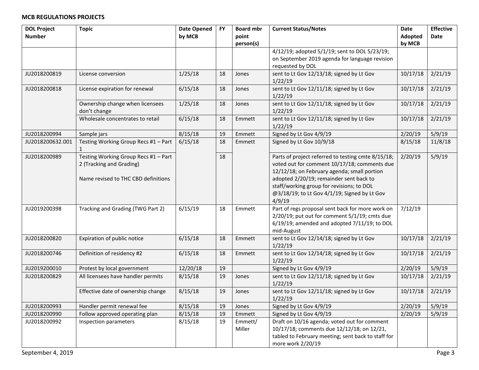| <b>DOL Project</b> | <b>Topic</b>                                    | <b>Date Opened</b> | <b>FY</b> | <b>Board mbr</b> | <b>Current Status/Notes</b>                            | <b>Date</b> | <b>Effective</b> |
|--------------------|-------------------------------------------------|--------------------|-----------|------------------|--------------------------------------------------------|-------------|------------------|
| <b>Number</b>      |                                                 | by MCB             |           | point            |                                                        | Adopted     | Date             |
|                    |                                                 |                    |           | person(s)        |                                                        | by MCB      |                  |
|                    |                                                 |                    |           |                  | 4/12/19; adopted 5/1/19; sent to DOL 5/23/19;          |             |                  |
|                    |                                                 |                    |           |                  | on September 2019 agenda for language revision         |             |                  |
|                    |                                                 |                    |           |                  | requested by DOL                                       |             |                  |
| JU2018200819       | License conversion                              | 1/25/18            | 18        | Jones            | sent to Lt Gov 12/13/18; signed by Lt Gov<br>1/22/19   | 10/17/18    | 2/21/19          |
| JU2018200818       | License expiration for renewal                  | 6/15/18            | 18        | Jones            | sent to Lt Gov 12/11/18; signed by Lt Gov<br>1/22/19   | 10/17/18    | 2/21/19          |
|                    | Ownership change when licensees<br>don't change | 1/25/18            | 18        | Jones            | sent to Lt Gov 12/11/18; signed by Lt Gov<br>1/22/19   | 10/17/18    | 2/21/19          |
|                    | Wholesale concentrates to retail                | 6/15/18            | 18        | Emmett           | sent to Lt Gov 12/11/18; signed by Lt Gov<br>1/22/19   | 10/17/18    | 2/21/19          |
| JU2018200994       | Sample jars                                     | 8/15/18            | 19        | Emmett           | Signed by Lt Gov 4/9/19                                | 2/20/19     | 5/9/19           |
| JU2018200632.001   | Testing Working Group Recs #1 - Part<br>1       | 6/15/18            | 18        | Emmett           | Signed by Lt Gov 10/9/18                               | 8/15/18     | 11/8/18          |
| JU2018200989       | Testing Working Group Recs #1 - Part            |                    | 18        |                  | Parts of project referred to testing cmte 8/15/18;     | 2/20/19     | 5/9/19           |
|                    | 2 (Tracking and Grading)                        |                    |           |                  | voted out for comment 10/17/18; comments due           |             |                  |
|                    |                                                 |                    |           |                  | 12/12/18; on February agenda; small portion            |             |                  |
|                    | Name revised to THC CBD definitions             |                    |           |                  | adopted 2/20/19; remainder sent back to                |             |                  |
|                    |                                                 |                    |           |                  | staff/working group for revisions; to DOL              |             |                  |
|                    |                                                 |                    |           |                  | @3/18/19; to Lt Gov 4/1/19; Signed by Lt Gov<br>4/9/19 |             |                  |
| JU2019200398       | Tracking and Grading (TWG Part 2)               | 6/15/19            | 18        | Emmett           | Part of regs proposal sent back for more work on       | 7/12/19     |                  |
|                    |                                                 |                    |           |                  | 2/20/19; put out for comment 5/1/19; cmts due          |             |                  |
|                    |                                                 |                    |           |                  | 6/19/19; amended and adopted 7/11/19; to DOL           |             |                  |
|                    |                                                 |                    |           |                  | mid-August                                             |             |                  |
| JU2018200820       | Expiration of public notice                     | 6/15/18            | 18        | Emmett           | sent to Lt Gov 12/14/18; signed by Lt Gov<br>1/22/19   | 10/17/18    | 2/21/19          |
| JU2018200746       | Definition of residency #2                      | 6/15/18            | 18        | Emmett           | sent to Lt Gov 12/14/18; signed by Lt Gov<br>1/22/19   | 10/17/18    | 2/21/19          |
| JU2019200010       | Protest by local government                     | 12/20/18           | 19        |                  | Signed by Lt Gov 4/9/19                                | 2/20/19     | 5/9/19           |
| JU2018200829       | All licensees have handler permits              | 8/15/18            | 19        | Jones            | sent to Lt Gov 12/11/18; signed by Lt Gov              | 10/17/18    | 2/21/19          |
|                    |                                                 |                    |           |                  | 1/22/19                                                |             |                  |
|                    | Effective date of ownership change              | 8/15/18            | 19        | Jones            | sent to Lt Gov 12/11/18; signed by Lt Gov<br>1/22/19   | 10/17/18    | 2/21/19          |
| JU2018200993       | Handler permit renewal fee                      | 8/15/18            | 19        | Jones            | Signed by Lt Gov 4/9/19                                | 2/20/19     | 5/9/19           |
| JU2018200990       | Follow approved operating plan                  | 8/15/18            | 19        | Emmett           | Signed by Lt Gov 4/9/19                                | 2/20/19     | 5/9/19           |
| JU2018200992       | Inspection parameters                           | 8/15/18            | 19        | Emmett/          | Draft on 10/16 agenda; voted out for comment           |             |                  |
|                    |                                                 |                    |           | Miller           | 10/17/18; comments due 12/12/18; on 12/21,             |             |                  |
|                    |                                                 |                    |           |                  | tabled to February meeting; sent back to staff for     |             |                  |
|                    |                                                 |                    |           |                  | more work 2/20/19                                      |             |                  |